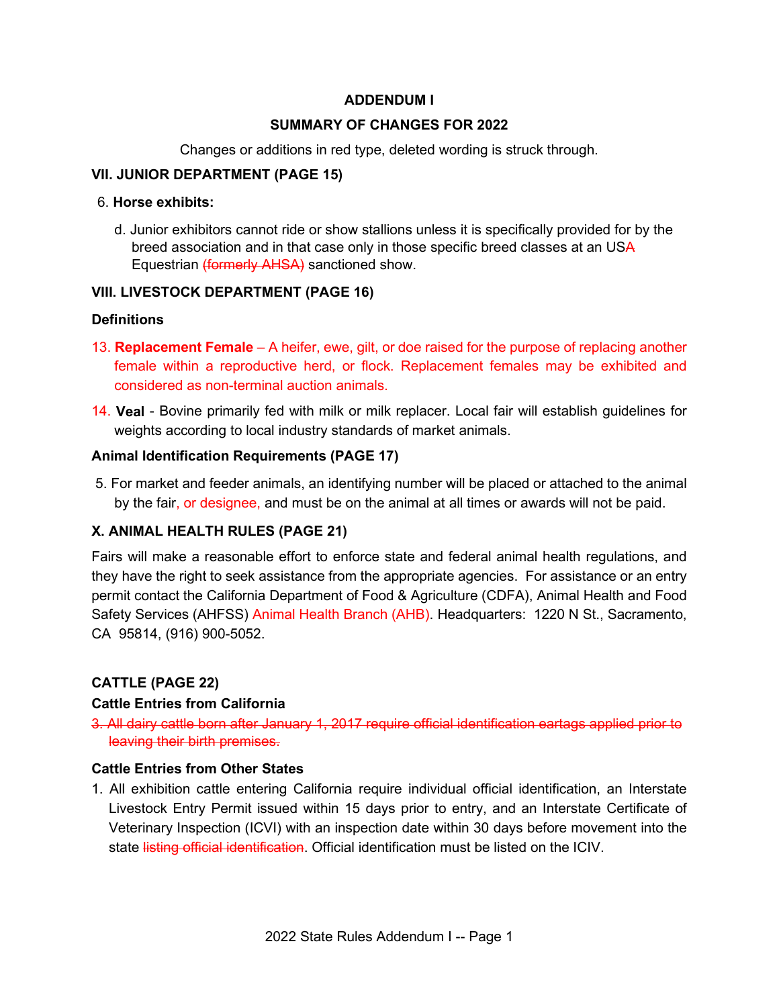# **ADDENDUM I**

## **SUMMARY OF CHANGES FOR 2022**

Changes or additions in red type, deleted wording is struck through.

# **VII. JUNIOR DEPARTMENT (PAGE 15)**

#### 6. **Horse exhibits:**

d. Junior exhibitors cannot ride or show stallions unless it is specifically provided for by the breed association and in that case only in those specific breed classes at an USA Equestrian (formerly AHSA) sanctioned show.

# **VIII. LIVESTOCK DEPARTMENT (PAGE 16)**

## **Definitions**

- 13. **Replacement Female**  A heifer, ewe, gilt, or doe raised for the purpose of replacing another female within a reproductive herd, or flock. Replacement females may be exhibited and considered as non-terminal auction animals.
- 14. **Veal**  Bovine primarily fed with milk or milk replacer. Local fair will establish guidelines for weights according to local industry standards of market animals.

## **Animal Identification Requirements (PAGE 17)**

 5. For market and feeder animals, an identifying number will be placed or attached to the animal by the fair, or designee, and must be on the animal at all times or awards will not be paid.

# **X. ANIMAL HEALTH RULES (PAGE 21)**

 Fairs will make a reasonable effort to enforce state and federal animal health regulations, and they have the right to seek assistance from the appropriate agencies. For assistance or an entry permit contact the California Department of Food & Agriculture (CDFA), Animal Health and Food Safety Services (AHFSS) Animal Health Branch (AHB). Headquarters: 1220 N St., Sacramento, CA 95814, (916) 900-5052.

# **CATTLE (PAGE 22)**

## **Cattle Entries from California**

3. All dairy cattle born after January 1, 2017 require official identification eartags applied prior to leaving their birth premises.

## **Cattle Entries from Other States**

 Veterinary Inspection (ICVI) with an inspection date within 30 days before movement into the 1. All exhibition cattle entering California require individual official identification, an Interstate Livestock Entry Permit issued within 15 days prior to entry, and an Interstate Certificate of state listing official identification. Official identification must be listed on the ICIV.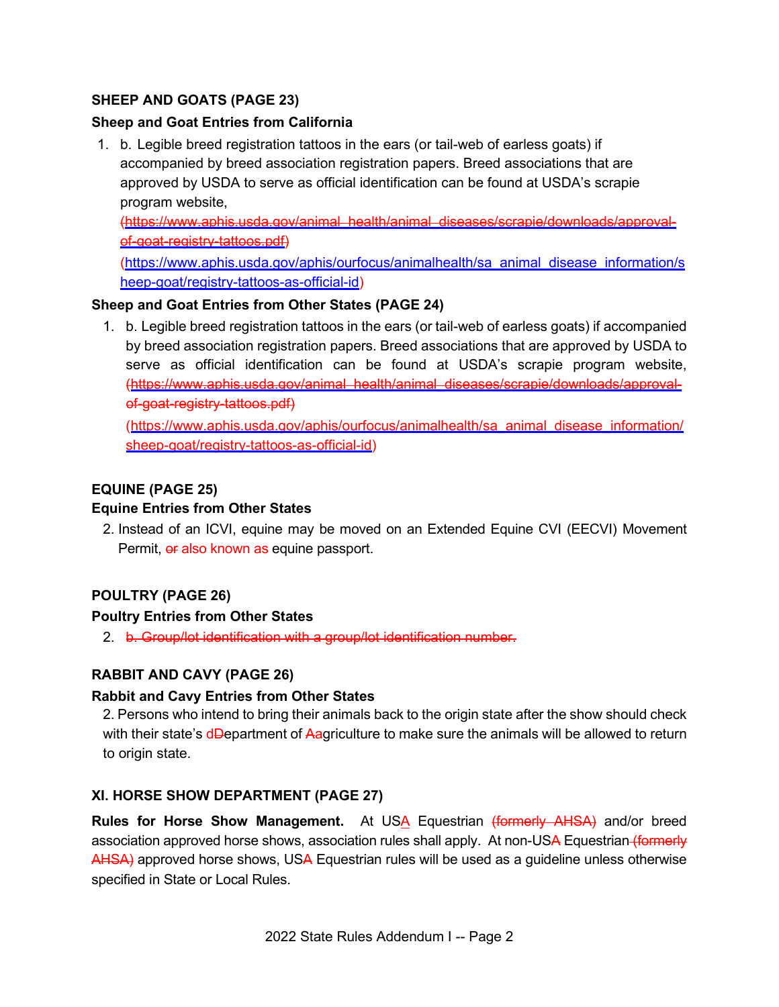# **SHEEP AND GOATS (PAGE 23)**

## **Sheep and Goat Entries from California**

 1. b. Legible breed registration tattoos in the ears (or tail-web of earless goats) if accompanied by breed association registration papers. Breed associations that are approved by USDA to serve as official identification can be found at USDA's scrapie program website,

[\(https://www.aphis.usda.gov/animal\\_health/animal\\_diseases/scrapie/downloads/approval](https://www.aphis.usda.gov/animal_health/animal_diseases/scrapie/downloads/approval)of-goat-registry-tattoos.pdf)

[\(https://www.aphis.usda.gov/aphis/ourfocus/animalhealth/sa\\_animal\\_disease\\_information/s](https://www.aphis.usda.gov/aphis/ourfocus/animalhealth/sa_animal_disease_information/sheep-goat/registry-tattoos-as-official-id)  [heep-goat/registry-tattoos-as-official-id\)](https://www.aphis.usda.gov/aphis/ourfocus/animalhealth/sa_animal_disease_information/sheep-goat/registry-tattoos-as-official-id)

## **Sheep and Goat Entries from Other States (PAGE 24)**

 1. b. Legible breed registration tattoos in the ears (or tail-web of earless goats) if accompanied by breed association registration papers. Breed associations that are approved by USDA to serve as official identification can be found at USDA's scrapie program website, ([https://www.aphis.usda.gov/animal\\_health/animal\\_diseases/scrapie/downloads/approval](https://www.aphis.usda.gov/animal_health/animal_diseases/scrapie/downloads/approval)of-goat-registry-tattoos.pdf)

\_ [\(https://www.aphis.usda.gov/aphis/ourfocus/animalhealth/sa\\_animal disease\\_information/](https://www.aphis.usda.gov/aphis/ourfocus/animalhealth/sa_animal_disease_information/sheep-goat/registry-tattoos-as-official-id)  [sheep-goat/registry-tattoos-as-official-id\)](https://www.aphis.usda.gov/aphis/ourfocus/animalhealth/sa_animal_disease_information/sheep-goat/registry-tattoos-as-official-id)

# **EQUINE (PAGE 25)**

## **Equine Entries from Other States**

2. Instead of an ICVI, equine may be moved on an Extended Equine CVI (EECVI) Movement Permit, or also known as equine passport.

# **POULTRY (PAGE 26)**

## **Poultry Entries from Other States**

2. b. Group/lot identification with a group/lot identification number.

## **RABBIT AND CAVY (PAGE 26)**

## **Rabbit and Cavy Entries from Other States**

with their state's d<del>D</del>epartment of <del>A</del>agriculture to make sure the animals will be allowed to return 2. Persons who intend to bring their animals back to the origin state after the show should check to origin state.

## **XI. HORSE SHOW DEPARTMENT (PAGE 27)**

**Rules for Horse Show Management.** At US<u>A</u> Equestrian (formerly AHSA) and/or breed AHSA) approved horse shows, USA Equestrian rules will be used as a guideline unless otherwise association approved horse shows, association rules shall apply. At non-USA Equestrian (formerly specified in State or Local Rules.